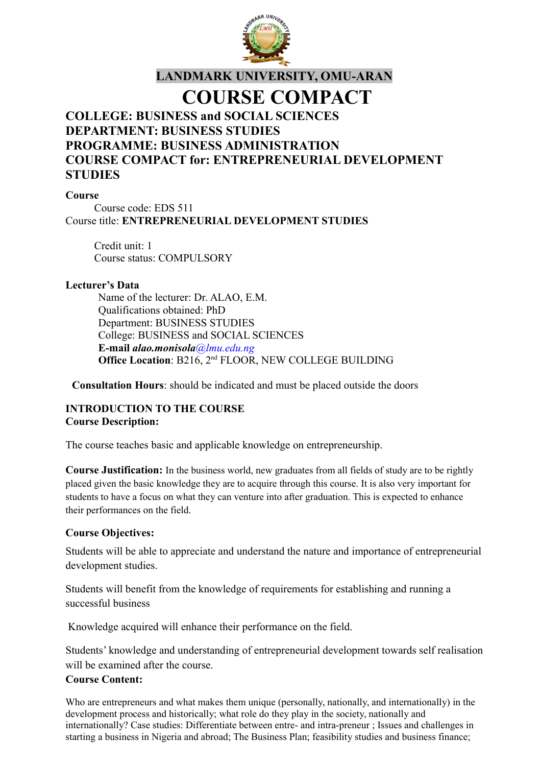

# **LANDMARK UNIVERSITY, OMU-ARAN**

# **COURSE COMPACT**

# **COLLEGE: BUSINESS and SOCIAL SCIENCES DEPARTMENT: BUSINESS STUDIES PROGRAMME: BUSINESS ADMINISTRATION COURSE COMPACT for: ENTREPRENEURIAL DEVELOPMENT STUDIES**

#### **Course**

Course code: EDS 511 Course title: **ENTREPRENEURIAL DEVELOPMENT STUDIES**

Credit unit: 1 Course status: COMPULSORY

#### **Lecturer's Data**

Name of the lecturer: Dr. ALAO, E.M. Qualifications obtained: PhD Department: BUSINESS STUDIES College: BUSINESS and SOCIAL SCIENCES **E-mail** *alao.monisola@lmu.edu.ng* **Office Location**: B216, 2nd FLOOR, NEW COLLEGE BUILDING

**Consultation Hours**: should be indicated and must be placed outside the doors

# **INTRODUCTION TO THE COURSE Course Description:**

The course teaches basic and applicable knowledge on entrepreneurship.

**Course Justification:** In the business world, new graduates from all fields of study are to be rightly placed given the basic knowledge they are to acquire through this course. It is also very important for students to have a focus on what they can venture into after graduation. This is expected to enhance their performances on the field.

#### **Course Objectives:**

Students will be able to appreciate and understand the nature and importance of entrepreneurial development studies.

Students will benefit from the knowledge of requirements for establishing and running a successful business

Knowledge acquired will enhance their performance on the field.

Students' knowledge and understanding of entrepreneurial development towards self realisation will be examined after the course.

#### **Course Content:**

Who are entrepreneurs and what makes them unique (personally, nationally, and internationally) in the development process and historically; what role do they play in the society, nationally and internationally? Case studies: Differentiate between entre- and intra-preneur ; Issues and challenges in starting a business in Nigeria and abroad; The Business Plan; feasibility studies and business finance;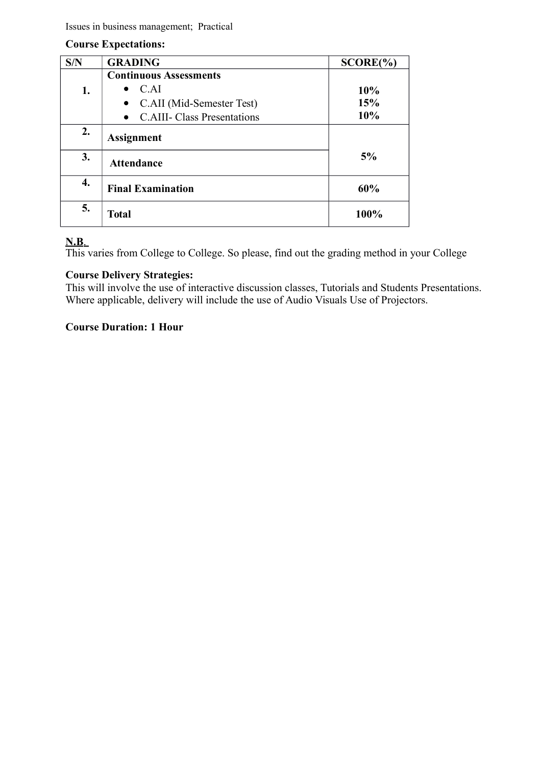Issues in business management; Practical

#### **Course Expectations:**

| S/N | <b>GRADING</b>                                  | SCORE(%) |
|-----|-------------------------------------------------|----------|
|     | <b>Continuous Assessments</b>                   |          |
| 1.  | C.AI                                            | 10%      |
|     | C.AII (Mid-Semester Test)<br>$\bullet$          | 15%      |
|     | <b>C.AIII- Class Presentations</b><br>$\bullet$ | 10%      |
| 2.  | <b>Assignment</b>                               |          |
| 3.  | <b>Attendance</b>                               | 5%       |
| 4.  | <b>Final Examination</b>                        | 60%      |
| 5.  | <b>Total</b>                                    | 100%     |

# **N.B**.

This varies from College to College. So please, find out the grading method in your College

# **Course Delivery Strategies:**

This will involve the use of interactive discussion classes, Tutorials and Students Presentations. Where applicable, delivery will include the use of Audio Visuals Use of Projectors.

# **Course Duration: 1 Hour**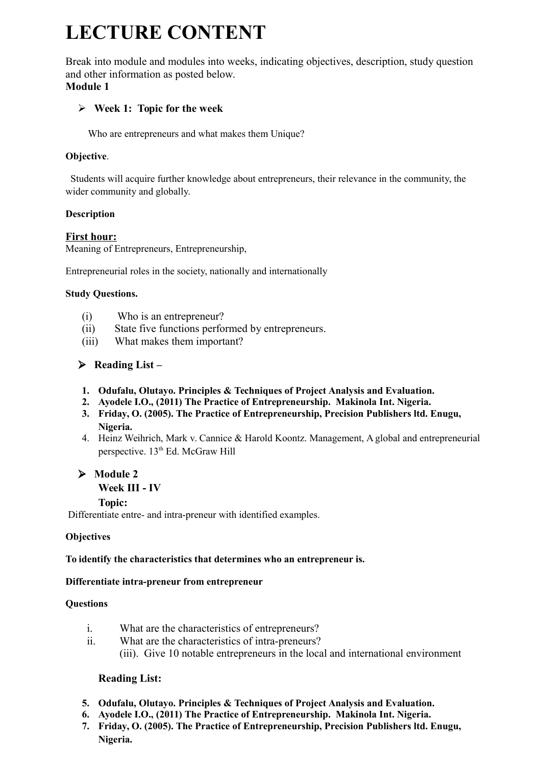# **LECTURE CONTENT**

Break into module and modules into weeks, indicating objectives, description, study question and other information as posted below. **Module 1**

# **Week 1: Topic for the week**

Who are entrepreneurs and what makes them Unique?

# **Objective**.

 Students will acquire further knowledge about entrepreneurs, their relevance in the community, the wider community and globally.

# **Description**

# **First hour:**

Meaning of Entrepreneurs, Entrepreneurship,

Entrepreneurial roles in the society, nationally and internationally

#### **Study Questions.**

- (i) Who is an entrepreneur?
- (ii) State five functions performed by entrepreneurs.
- (iii) What makes them important?

# **Reading List –**

- **1. Odufalu, Olutayo. Principles & Techniques of Project Analysis and Evaluation.**
- **2. Ayodele I.O., (2011) The Practice of Entrepreneurship. Makinola Int. Nigeria.**
- **3. Friday, O. (2005). The Practice of Entrepreneurship, Precision Publishers ltd. Enugu, Nigeria.**
- 4. Heinz Weihrich, Mark v. Cannice & Harold Koontz. Management, A global and entrepreneurial perspective. 13<sup>th</sup> Ed. McGraw Hill

# **Module 2**

#### **Week III - IV**

#### **Topic:**

Differentiate entre- and intra-preneur with identified examples.

# **Objectives**

# **To identify the characteristics that determines who an entrepreneur is.**

# **Differentiate intra-preneur from entrepreneur**

#### **Questions**

- i. What are the characteristics of entrepreneurs?
- ii. What are the characteristics of intra-preneurs? (iii). Give 10 notable entrepreneurs in the local and international environment

# **Reading List:**

- **5. Odufalu, Olutayo. Principles & Techniques of Project Analysis and Evaluation.**
- **6. Ayodele I.O., (2011) The Practice of Entrepreneurship. Makinola Int. Nigeria.**
- **7. Friday, O. (2005). The Practice of Entrepreneurship, Precision Publishers ltd. Enugu, Nigeria.**